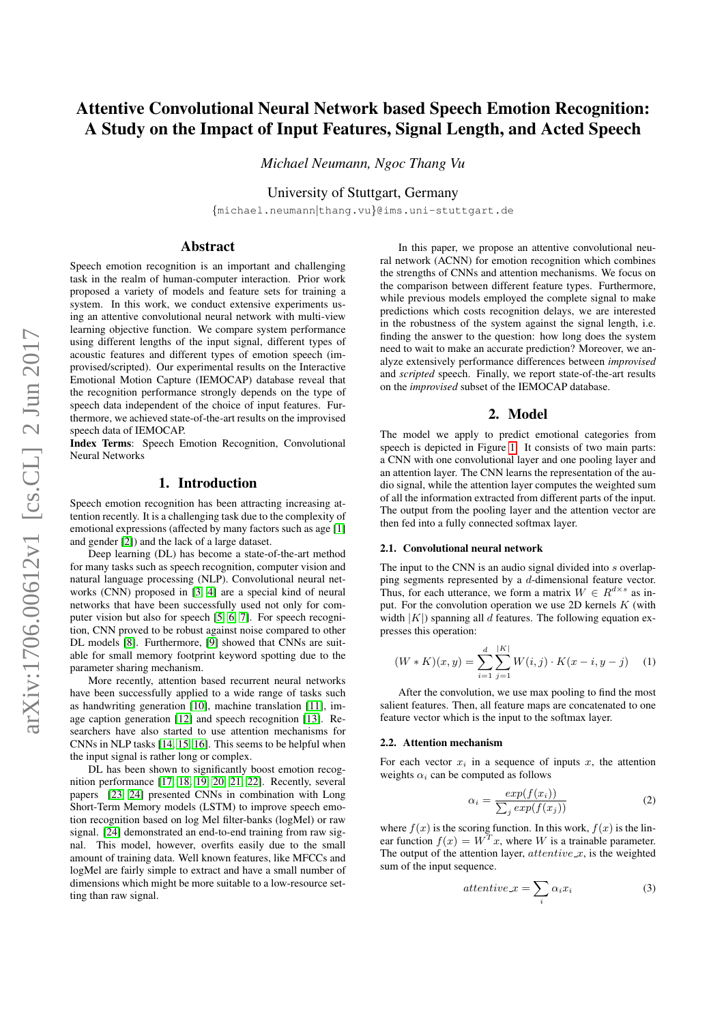# Attentive Convolutional Neural Network based Speech Emotion Recognition: A Study on the Impact of Input Features, Signal Length, and Acted Speech

*Michael Neumann, Ngoc Thang Vu*

University of Stuttgart, Germany

{michael.neumann|thang.vu}@ims.uni-stuttgart.de

## Abstract

Speech emotion recognition is an important and challenging task in the realm of human-computer interaction. Prior work proposed a variety of models and feature sets for training a system. In this work, we conduct extensive experiments using an attentive convolutional neural network with multi-view learning objective function. We compare system performance using different lengths of the input signal, different types of acoustic features and different types of emotion speech (improvised/scripted). Our experimental results on the Interactive Emotional Motion Capture (IEMOCAP) database reveal that the recognition performance strongly depends on the type of speech data independent of the choice of input features. Furthermore, we achieved state-of-the-art results on the improvised speech data of IEMOCAP.

Index Terms: Speech Emotion Recognition, Convolutional Neural Networks

## 1. Introduction

Speech emotion recognition has been attracting increasing attention recently. It is a challenging task due to the complexity of emotional expressions (affected by many factors such as age [\[1\]](#page-4-0) and gender [\[2\]](#page-4-1)) and the lack of a large dataset.

Deep learning (DL) has become a state-of-the-art method for many tasks such as speech recognition, computer vision and natural language processing (NLP). Convolutional neural networks (CNN) proposed in [\[3,](#page-4-2) [4\]](#page-4-3) are a special kind of neural networks that have been successfully used not only for computer vision but also for speech [\[5,](#page-4-4) [6,](#page-4-5) [7\]](#page-4-6). For speech recognition, CNN proved to be robust against noise compared to other DL models [\[8\]](#page-4-7). Furthermore, [\[9\]](#page-4-8) showed that CNNs are suitable for small memory footprint keyword spotting due to the parameter sharing mechanism.

More recently, attention based recurrent neural networks have been successfully applied to a wide range of tasks such as handwriting generation [\[10\]](#page-4-9), machine translation [\[11\]](#page-4-10), image caption generation [\[12\]](#page-4-11) and speech recognition [\[13\]](#page-4-12). Researchers have also started to use attention mechanisms for CNNs in NLP tasks [\[14,](#page-4-13) [15,](#page-4-14) [16\]](#page-4-15). This seems to be helpful when the input signal is rather long or complex.

DL has been shown to significantly boost emotion recognition performance [\[17,](#page-4-16) [18,](#page-4-17) [19,](#page-4-18) [20,](#page-4-19) [21,](#page-4-20) [22\]](#page-4-21). Recently, several papers [\[23,](#page-4-22) [24\]](#page-4-23) presented CNNs in combination with Long Short-Term Memory models (LSTM) to improve speech emotion recognition based on log Mel filter-banks (logMel) or raw signal. [\[24\]](#page-4-23) demonstrated an end-to-end training from raw signal. This model, however, overfits easily due to the small amount of training data. Well known features, like MFCCs and logMel are fairly simple to extract and have a small number of dimensions which might be more suitable to a low-resource setting than raw signal.

In this paper, we propose an attentive convolutional neural network (ACNN) for emotion recognition which combines the strengths of CNNs and attention mechanisms. We focus on the comparison between different feature types. Furthermore, while previous models employed the complete signal to make predictions which costs recognition delays, we are interested in the robustness of the system against the signal length, i.e. finding the answer to the question: how long does the system need to wait to make an accurate prediction? Moreover, we analyze extensively performance differences between *improvised* and *scripted* speech. Finally, we report state-of-the-art results on the *improvised* subset of the IEMOCAP database.

### 2. Model

The model we apply to predict emotional categories from speech is depicted in Figure [1.](#page-1-0) It consists of two main parts: a CNN with one convolutional layer and one pooling layer and an attention layer. The CNN learns the representation of the audio signal, while the attention layer computes the weighted sum of all the information extracted from different parts of the input. The output from the pooling layer and the attention vector are then fed into a fully connected softmax layer.

#### 2.1. Convolutional neural network

The input to the CNN is an audio signal divided into s overlapping segments represented by a d-dimensional feature vector. Thus, for each utterance, we form a matrix  $W \in R^{d \times s}$  as input. For the convolution operation we use 2D kernels  $K$  (with width  $|K|$ ) spanning all d features. The following equation expresses this operation:

$$
(W * K)(x, y) = \sum_{i=1}^{d} \sum_{j=1}^{|K|} W(i, j) \cdot K(x - i, y - j) \tag{1}
$$

After the convolution, we use max pooling to find the most salient features. Then, all feature maps are concatenated to one feature vector which is the input to the softmax layer.

#### 2.2. Attention mechanism

For each vector  $x_i$  in a sequence of inputs x, the attention weights  $\alpha_i$  can be computed as follows

$$
\alpha_i = \frac{exp(f(x_i))}{\sum_j exp(f(x_j))} \tag{2}
$$

where  $f(x)$  is the scoring function. In this work,  $f(x)$  is the linear function  $f(x) = W<sup>T</sup> x$ , where W is a trainable parameter. The output of the attention layer,  $attentive_x$ , is the weighted sum of the input sequence.

$$
attentive_x = \sum_i \alpha_i x_i \tag{3}
$$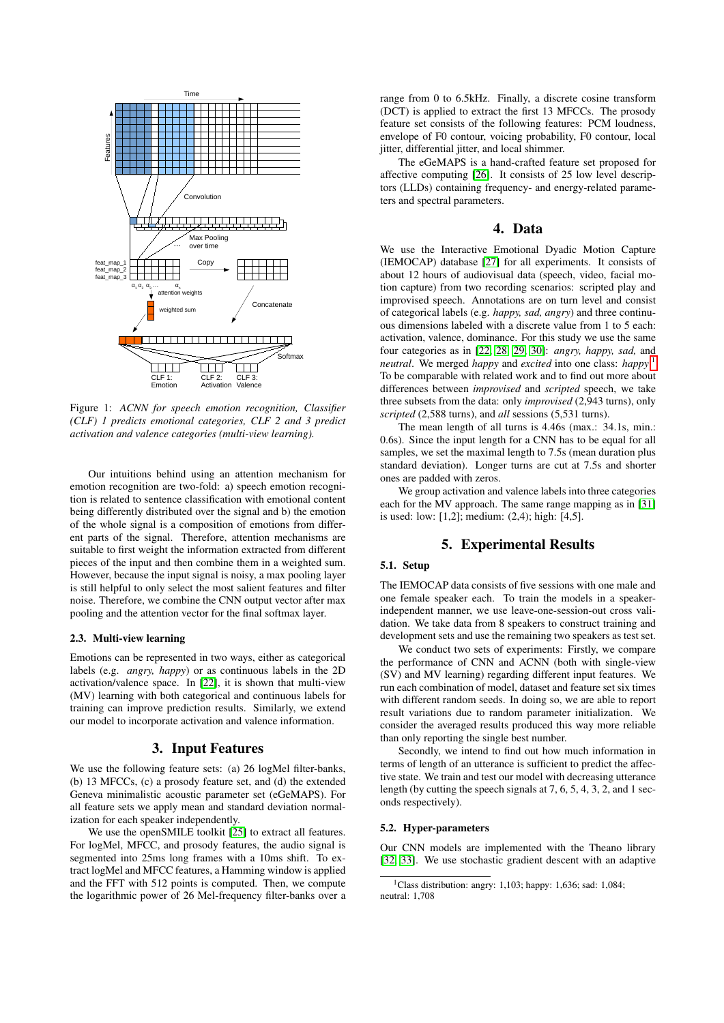<span id="page-1-0"></span>

Figure 1: *ACNN for speech emotion recognition, Classifier (CLF) 1 predicts emotional categories, CLF 2 and 3 predict activation and valence categories (multi-view learning).*

Our intuitions behind using an attention mechanism for emotion recognition are two-fold: a) speech emotion recognition is related to sentence classification with emotional content being differently distributed over the signal and b) the emotion of the whole signal is a composition of emotions from different parts of the signal. Therefore, attention mechanisms are suitable to first weight the information extracted from different pieces of the input and then combine them in a weighted sum. However, because the input signal is noisy, a max pooling layer is still helpful to only select the most salient features and filter noise. Therefore, we combine the CNN output vector after max pooling and the attention vector for the final softmax layer.

#### 2.3. Multi-view learning

Emotions can be represented in two ways, either as categorical labels (e.g. *angry, happy*) or as continuous labels in the 2D activation/valence space. In [\[22\]](#page-4-21), it is shown that multi-view (MV) learning with both categorical and continuous labels for training can improve prediction results. Similarly, we extend our model to incorporate activation and valence information.

## 3. Input Features

We use the following feature sets: (a) 26 logMel filter-banks, (b) 13 MFCCs, (c) a prosody feature set, and (d) the extended Geneva minimalistic acoustic parameter set (eGeMAPS). For all feature sets we apply mean and standard deviation normalization for each speaker independently.

We use the openSMILE toolkit [\[25\]](#page-4-24) to extract all features. For logMel, MFCC, and prosody features, the audio signal is segmented into 25ms long frames with a 10ms shift. To extract logMel and MFCC features, a Hamming window is applied and the FFT with 512 points is computed. Then, we compute the logarithmic power of 26 Mel-frequency filter-banks over a range from 0 to 6.5kHz. Finally, a discrete cosine transform (DCT) is applied to extract the first 13 MFCCs. The prosody feature set consists of the following features: PCM loudness, envelope of F0 contour, voicing probability, F0 contour, local jitter, differential jitter, and local shimmer.

The eGeMAPS is a hand-crafted feature set proposed for affective computing [\[26\]](#page-4-25). It consists of 25 low level descriptors (LLDs) containing frequency- and energy-related parameters and spectral parameters.

# 4. Data

We use the Interactive Emotional Dyadic Motion Capture (IEMOCAP) database [\[27\]](#page-4-26) for all experiments. It consists of about 12 hours of audiovisual data (speech, video, facial motion capture) from two recording scenarios: scripted play and improvised speech. Annotations are on turn level and consist of categorical labels (e.g. *happy, sad, angry*) and three continuous dimensions labeled with a discrete value from 1 to 5 each: activation, valence, dominance. For this study we use the same four categories as in [\[22,](#page-4-21) [28,](#page-4-27) [29,](#page-4-28) [30\]](#page-4-29): *angry, happy, sad,* and *neutral*. We merged *happy* and *excited* into one class: *happy*. [1](#page-1-1) To be comparable with related work and to find out more about differences between *improvised* and *scripted* speech, we take three subsets from the data: only *improvised* (2,943 turns), only *scripted* (2,588 turns), and *all* sessions (5,531 turns).

The mean length of all turns is 4.46s (max.: 34.1s, min.: 0.6s). Since the input length for a CNN has to be equal for all samples, we set the maximal length to 7.5s (mean duration plus standard deviation). Longer turns are cut at 7.5s and shorter ones are padded with zeros.

We group activation and valence labels into three categories each for the MV approach. The same range mapping as in [\[31\]](#page-4-30) is used: low: [1,2]; medium: (2,4); high: [4,5].

#### 5. Experimental Results

### 5.1. Setup

The IEMOCAP data consists of five sessions with one male and one female speaker each. To train the models in a speakerindependent manner, we use leave-one-session-out cross validation. We take data from 8 speakers to construct training and development sets and use the remaining two speakers as test set.

We conduct two sets of experiments: Firstly, we compare the performance of CNN and ACNN (both with single-view (SV) and MV learning) regarding different input features. We run each combination of model, dataset and feature set six times with different random seeds. In doing so, we are able to report result variations due to random parameter initialization. We consider the averaged results produced this way more reliable than only reporting the single best number.

Secondly, we intend to find out how much information in terms of length of an utterance is sufficient to predict the affective state. We train and test our model with decreasing utterance length (by cutting the speech signals at 7, 6, 5, 4, 3, 2, and 1 seconds respectively).

#### 5.2. Hyper-parameters

Our CNN models are implemented with the Theano library [\[32,](#page-4-31) [33\]](#page-4-32). We use stochastic gradient descent with an adaptive

<span id="page-1-1"></span><sup>&</sup>lt;sup>1</sup>Class distribution: angry: 1,103; happy: 1,636; sad: 1,084; neutral: 1,708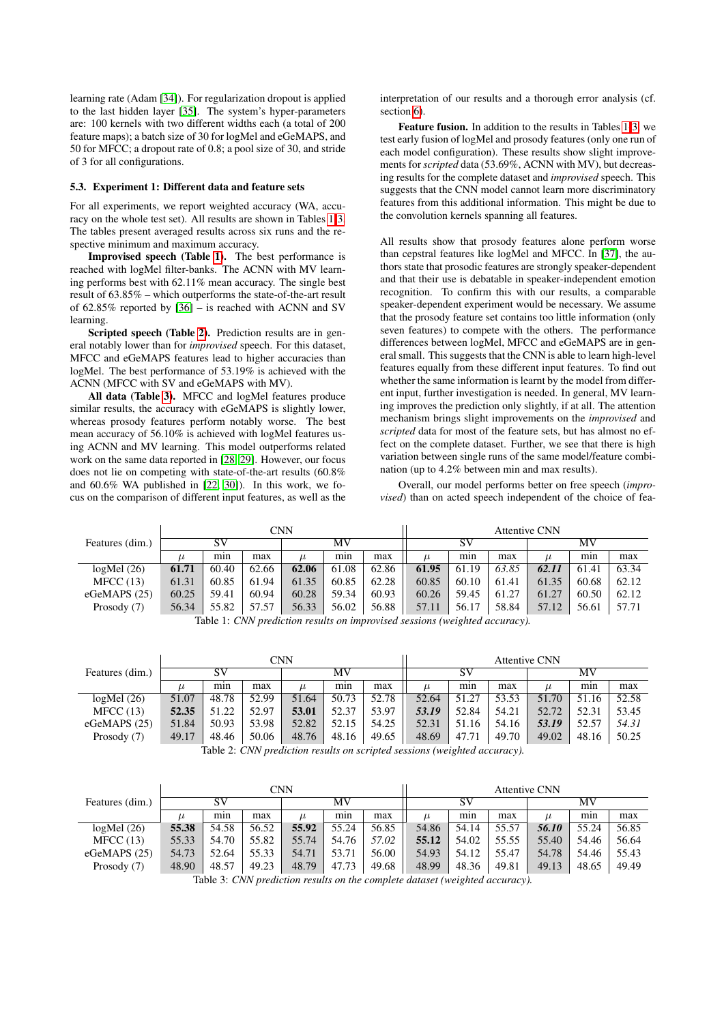learning rate (Adam [\[34\]](#page-4-33)). For regularization dropout is applied to the last hidden layer [\[35\]](#page-4-34). The system's hyper-parameters are: 100 kernels with two different widths each (a total of 200 feature maps); a batch size of 30 for logMel and eGeMAPS, and 50 for MFCC; a dropout rate of 0.8; a pool size of 30, and stride of 3 for all configurations.

#### 5.3. Experiment 1: Different data and feature sets

For all experiments, we report weighted accuracy (WA, accuracy on the whole test set). All results are shown in Tables [1-](#page-2-0)[3.](#page-2-1) The tables present averaged results across six runs and the respective minimum and maximum accuracy.

Improvised speech (Table [1\)](#page-2-0). The best performance is reached with logMel filter-banks. The ACNN with MV learning performs best with 62.11% mean accuracy. The single best result of 63.85% – which outperforms the state-of-the-art result of 62.85% reported by [\[36\]](#page-4-35) – is reached with ACNN and SV learning.

Scripted speech (Table [2\)](#page-2-2). Prediction results are in general notably lower than for *improvised* speech. For this dataset, MFCC and eGeMAPS features lead to higher accuracies than logMel. The best performance of 53.19% is achieved with the ACNN (MFCC with SV and eGeMAPS with MV).

All data (Table [3\)](#page-2-1). MFCC and logMel features produce similar results, the accuracy with eGeMAPS is slightly lower, whereas prosody features perform notably worse. The best mean accuracy of 56.10% is achieved with logMel features using ACNN and MV learning. This model outperforms related work on the same data reported in [\[28,](#page-4-27) [29\]](#page-4-28). However, our focus does not lie on competing with state-of-the-art results (60.8% and 60.6% WA published in [\[22,](#page-4-21) [30\]](#page-4-29)). In this work, we focus on the comparison of different input features, as well as the interpretation of our results and a thorough error analysis (cf. section [6\)](#page-3-0).

Feature fusion. In addition to the results in Tables [1](#page-2-0)[-3,](#page-2-1) we test early fusion of logMel and prosody features (only one run of each model configuration). These results show slight improvements for *scripted* data (53.69%, ACNN with MV), but decreasing results for the complete dataset and *improvised* speech. This suggests that the CNN model cannot learn more discriminatory features from this additional information. This might be due to the convolution kernels spanning all features.

All results show that prosody features alone perform worse than cepstral features like logMel and MFCC. In [\[37\]](#page-4-36), the authors state that prosodic features are strongly speaker-dependent and that their use is debatable in speaker-independent emotion recognition. To confirm this with our results, a comparable speaker-dependent experiment would be necessary. We assume that the prosody feature set contains too little information (only seven features) to compete with the others. The performance differences between logMel, MFCC and eGeMAPS are in general small. This suggests that the CNN is able to learn high-level features equally from these different input features. To find out whether the same information is learnt by the model from different input, further investigation is needed. In general, MV learning improves the prediction only slightly, if at all. The attention mechanism brings slight improvements on the *improvised* and *scripted* data for most of the feature sets, but has almost no effect on the complete dataset. Further, we see that there is high variation between single runs of the same model/feature combination (up to 4.2% between min and max results).

Overall, our model performs better on free speech (*improvised*) than on acted speech independent of the choice of fea-

<span id="page-2-0"></span>

|                 |       | <b>Attentive CNN</b> |       |       |       |       |       |       |       |       |       |       |
|-----------------|-------|----------------------|-------|-------|-------|-------|-------|-------|-------|-------|-------|-------|
| Features (dim.) | SV    |                      |       | MV    |       |       | SV    |       |       | MV    |       |       |
|                 |       | min                  | max   |       | min   | max   | $\mu$ | min   | max   | $\mu$ | min   | max   |
| logMel(26)      | 61.71 | 60.40                | 62.66 | 62.06 | 61.08 | 62.86 | 61.95 | 61.19 | 63.85 | 62.11 | 61.41 | 63.34 |
| MFCC(13)        | 61.31 | 60.85                | 61.94 | 61.35 | 60.85 | 62.28 | 60.85 | 60.10 | 61.41 | 61.35 | 60.68 | 62.12 |
| eGeMAPS $(25)$  | 60.25 | 59.41                | 60.94 | 60.28 | 59.34 | 60.93 | 60.26 | 59.45 | 61.27 | 61.27 | 60.50 | 62.12 |
| Prosody (7)     | 56.34 | 55.82                | 57.57 | 56.33 | 56.02 | 56.88 | 57.11 | 56.17 | 58.84 | 57.12 | 56.61 | 57.71 |

Table 1: *CNN prediction results on improvised sessions (weighted accuracy).*

<span id="page-2-2"></span>

|       |       |       | <b>CNN</b> |       |                                            |                                 |          |       |       | <b>Attentive CNN</b> |  |  |  |  |  |
|-------|-------|-------|------------|-------|--------------------------------------------|---------------------------------|----------|-------|-------|----------------------|--|--|--|--|--|
| SV    |       |       | MV         |       |                                            | S٧                              |          |       | MV    |                      |  |  |  |  |  |
| min   | max   |       | mın        | max   | $\mu$                                      | min                             | max      | $\mu$ | min   | max                  |  |  |  |  |  |
| 48.78 | 52.99 | 51.64 | 50.73      | 52.78 | 52.64                                      | 51.27                           | 53.53    | 51.70 | 51.16 | 52.58                |  |  |  |  |  |
| 51.22 | 52.97 | 53.01 | 52.37      | 53.97 | 53.19                                      | 52.84                           | 54.21    | 52.72 | 52.31 | 53.45                |  |  |  |  |  |
| 50.93 | 53.98 | 52.82 | 52.15      | 54.25 | 52.31                                      | 51.16                           | 54.16    | 53.19 | 52.57 | 54.31                |  |  |  |  |  |
| 48.46 | 50.06 | 48.76 | 48.16      | 49.65 | 48.69                                      | 47.71                           | 49.70    | 49.02 | 48.16 | 50.25                |  |  |  |  |  |
|       |       | T11A  | $\cdots$   |       | $\mathbf{r}$ . The same state $\mathbf{r}$ | $\cdot$ $\cdot$ $\cdot$ $\cdot$ | $\cdots$ |       |       |                      |  |  |  |  |  |

Table 2: *CNN prediction results on scripted sessions (weighted accuracy).*

<span id="page-2-1"></span>

|                 |       | <b>CNN</b> | <b>Attentive CNN</b> |       |       |       |       |       |       |       |       |       |
|-----------------|-------|------------|----------------------|-------|-------|-------|-------|-------|-------|-------|-------|-------|
| Features (dim.) | SV    |            |                      | MV    |       |       | SV    |       |       | MV    |       |       |
|                 |       | mın        | max                  | $\mu$ | mın   | max   | $\mu$ | min   | max   | $\mu$ | min   | max   |
| logMel(26)      | 55.38 | 54.58      | 56.52                | 55.92 | 55.24 | 56.85 | 54.86 | 54.14 | 55.57 | 56.10 | 55.24 | 56.85 |
| MFCC(13)        | 55.33 | 54.70      | 55.82                | 55.74 | 54.76 | 57.02 | 55.12 | 54.02 | 55.55 | 55.40 | 54.46 | 56.64 |
| eGeMAPS $(25)$  | 54.73 | 52.64      | 55.33                | 54.71 | 53.71 | 56.00 | 54.93 | 54.12 | 55.47 | 54.78 | 54.46 | 55.43 |
| Prosody (7)     | 48.90 | 48.57      | 49.23                | 48.79 | 47.73 | 49.68 | 48.99 | 48.36 | 49.81 | 49.13 | 48.65 | 49.49 |

Table 3: *CNN prediction results on the complete dataset (weighted accuracy).*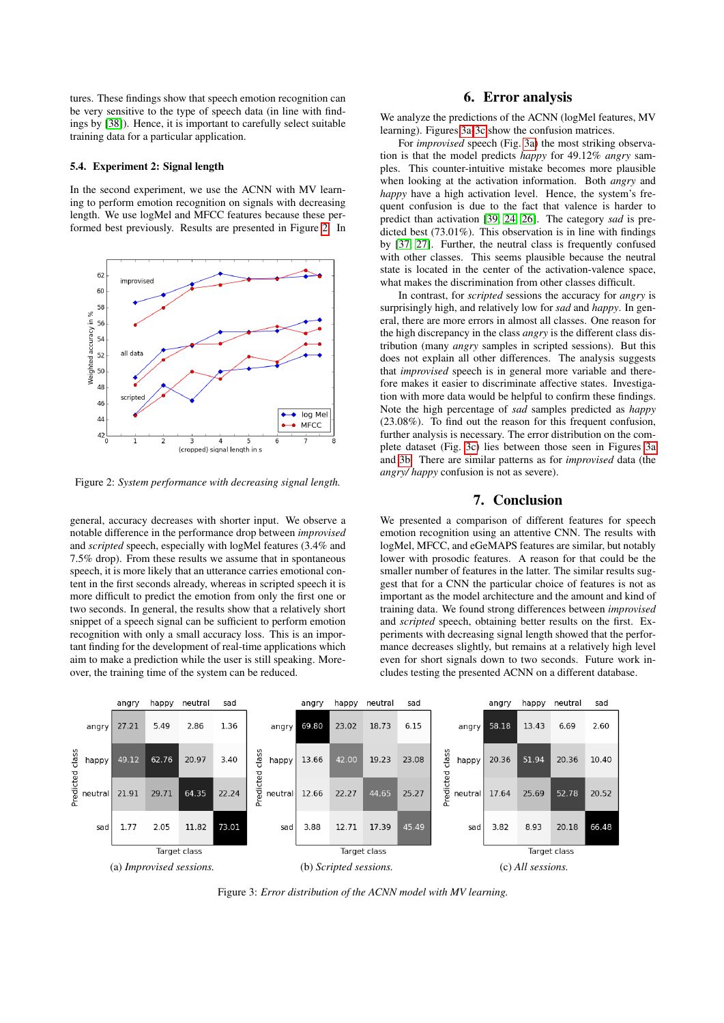tures. These findings show that speech emotion recognition can be very sensitive to the type of speech data (in line with findings by [\[38\]](#page-4-37)). Hence, it is important to carefully select suitable training data for a particular application.

#### 5.4. Experiment 2: Signal length

In the second experiment, we use the ACNN with MV learning to perform emotion recognition on signals with decreasing length. We use logMel and MFCC features because these performed best previously. Results are presented in Figure [2.](#page-3-1) In

<span id="page-3-1"></span>

Figure 2: *System performance with decreasing signal length.*

general, accuracy decreases with shorter input. We observe a notable difference in the performance drop between *improvised* and *scripted* speech, especially with logMel features (3.4% and 7.5% drop). From these results we assume that in spontaneous speech, it is more likely that an utterance carries emotional content in the first seconds already, whereas in scripted speech it is more difficult to predict the emotion from only the first one or two seconds. In general, the results show that a relatively short snippet of a speech signal can be sufficient to perform emotion recognition with only a small accuracy loss. This is an important finding for the development of real-time applications which aim to make a prediction while the user is still speaking. Moreover, the training time of the system can be reduced.

## 6. Error analysis

<span id="page-3-0"></span>We analyze the predictions of the ACNN (logMel features, MV learning). Figures [3a-3c](#page-3-2) show the confusion matrices.

For *improvised* speech (Fig. [3a\)](#page-3-2) the most striking observation is that the model predicts *happy* for 49.12% *angry* samples. This counter-intuitive mistake becomes more plausible when looking at the activation information. Both *angry* and *happy* have a high activation level. Hence, the system's frequent confusion is due to the fact that valence is harder to predict than activation [\[39,](#page-4-38) [24,](#page-4-23) [26\]](#page-4-25). The category *sad* is predicted best (73.01%). This observation is in line with findings by [\[37,](#page-4-36) [27\]](#page-4-26). Further, the neutral class is frequently confused with other classes. This seems plausible because the neutral state is located in the center of the activation-valence space, what makes the discrimination from other classes difficult.

In contrast, for *scripted* sessions the accuracy for *angry* is surprisingly high, and relatively low for *sad* and *happy*. In general, there are more errors in almost all classes. One reason for the high discrepancy in the class *angry* is the different class distribution (many *angry* samples in scripted sessions). But this does not explain all other differences. The analysis suggests that *improvised* speech is in general more variable and therefore makes it easier to discriminate affective states. Investigation with more data would be helpful to confirm these findings. Note the high percentage of *sad* samples predicted as *happy* (23.08%). To find out the reason for this frequent confusion, further analysis is necessary. The error distribution on the complete dataset (Fig. [3c\)](#page-3-2) lies between those seen in Figures [3a](#page-3-2) and [3b.](#page-3-2) There are similar patterns as for *improvised* data (the *angry/ happy* confusion is not as severe).

# 7. Conclusion

We presented a comparison of different features for speech emotion recognition using an attentive CNN. The results with logMel, MFCC, and eGeMAPS features are similar, but notably lower with prosodic features. A reason for that could be the smaller number of features in the latter. The similar results suggest that for a CNN the particular choice of features is not as important as the model architecture and the amount and kind of training data. We found strong differences between *improvised* and *scripted* speech, obtaining better results on the first. Experiments with decreasing signal length showed that the performance decreases slightly, but remains at a relatively high level even for short signals down to two seconds. Future work includes testing the presented ACNN on a different database.

<span id="page-3-2"></span>

Figure 3: *Error distribution of the ACNN model with MV learning.*